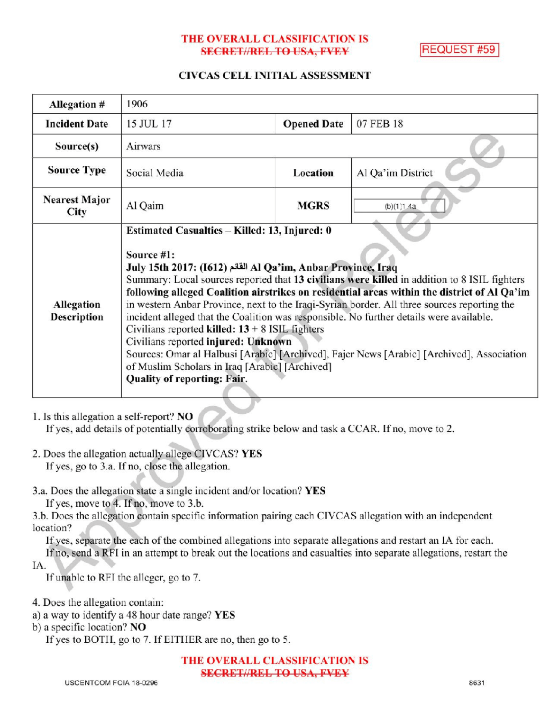### THE OVERALL CLASSIFICATION IS **SECRET//REL TO USA, FVEY**

**REQUEST #59** 

#### CIVCAS CELL INITIAL ASSESSMENT

| Allegation #                 | 1906                                                                                                                                                                                                                                                                                                                                                                                                                                                                                                                                                                                                                                                                                                                                                                                            |                    |                   |
|------------------------------|-------------------------------------------------------------------------------------------------------------------------------------------------------------------------------------------------------------------------------------------------------------------------------------------------------------------------------------------------------------------------------------------------------------------------------------------------------------------------------------------------------------------------------------------------------------------------------------------------------------------------------------------------------------------------------------------------------------------------------------------------------------------------------------------------|--------------------|-------------------|
| <b>Incident Date</b>         | 15 JUL 17                                                                                                                                                                                                                                                                                                                                                                                                                                                                                                                                                                                                                                                                                                                                                                                       | <b>Opened Date</b> | 07 FEB 18         |
| Source(s)                    | Airwars                                                                                                                                                                                                                                                                                                                                                                                                                                                                                                                                                                                                                                                                                                                                                                                         |                    |                   |
| <b>Source Type</b>           | Social Media                                                                                                                                                                                                                                                                                                                                                                                                                                                                                                                                                                                                                                                                                                                                                                                    | Location           | Al Qa'im District |
| <b>Nearest Major</b><br>City | Al Qaim                                                                                                                                                                                                                                                                                                                                                                                                                                                                                                                                                                                                                                                                                                                                                                                         | <b>MGRS</b>        | (b)(1)1.4a        |
| Allegation<br>Description    | Estimated Casualties – Killed: 13, Injured: 0<br>Source #1:<br>July 15th 2017: (1612) المقائم Al Qa'im, Anbar Province, Iraq<br>Summary: Local sources reported that 13 civilians were killed in addition to 8 ISIL fighters<br>following alleged Coalition airstrikes on residential areas within the district of Al Qa'im<br>in western Anbar Province, next to the Iraqi-Syrian border. All three sources reporting the<br>incident alleged that the Coalition was responsible. No further details were available.<br>Civilians reported killed: $13 + 8$ ISIL fighters<br>Civilians reported injured: Unknown<br>Sources: Omar al Halbusi [Arabic] [Archived], Fajer News [Arabic] [Archived], Association<br>of Muslim Scholars in Iraq [Arabic] [Archived]<br>Quality of reporting: Fair. |                    |                   |

1. Isthis allegation a self-report? NO

If yes, add details of potentially corroborating strike below and task a CCAR. If no, move to 2.

- 2. Does the allegation actually allege CIVCAS? YES If yes, go to 3.a. If no, close the allegation.
- 3.a. Does the allegation state a single incident and/or location? YES

If yes, move to 4. If no, move to  $3.b$ .

3.b. Does the allegation contain specific information pairing each CIVCAS allegation with an independent location?

Ifyes, separate the each of the combined allegations into separate allegations and restart an IA for each.

Ifno, send <sup>a</sup> RFI in an attempt to break out the locations and casualties into separate allegations, restart the IA

If unable to RFI the alleger, go to 7.

4. Does the allegation contain:

a) <sup>a</sup> way to identify <sup>a</sup> 48 hour date range? YES

b) a specific location? NO

If yes to BOTH, go to 7. If EITHER are no, then go to 5.

THE OVERALL CLASSIFICATION IS SECRET//REL TO USA, FVEY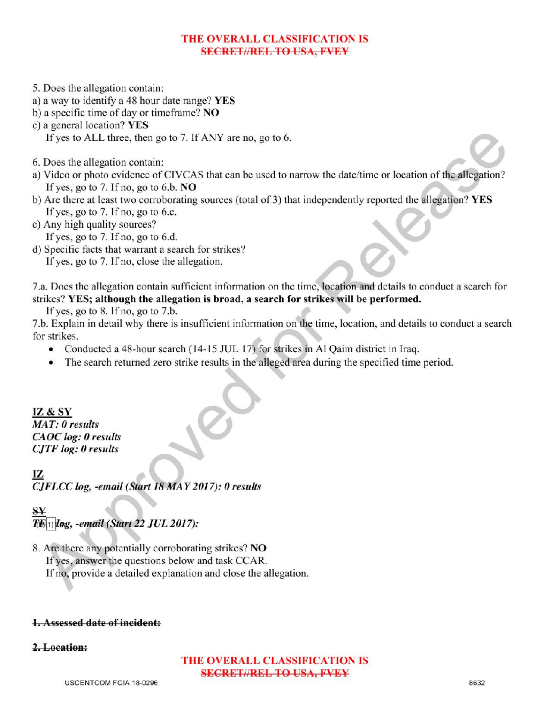### THE OVERALL CLASSIFICATION IS **SECRET//REL TO USA, FVEY**

- 5. Does the allegation contain:
- a) <sup>a</sup> way to identify a 48 hour date range? YES
- b) a specific time of day or timeframe?  $NO$
- c) a general location?  $YES$ 
	- If yes to ALL three, then go to 7. If ANY are no, go to 6.
- 6. Does the allegation contain:
- a) Video or photo evidence of CIVCAS that can be used to narrow the date/time or location of the allegation? If yes, go to 7. If no, go to  $6.b.$  NO
- b) Are there at least two corroborating sources (total of 3) that independently reported the allegation? YES If yes, go to  $7.$  If no, go to 6.c.
- c) Any high quality sources?
	- If yes, go to  $7.$  If no, go to  $6.d.$
- d) Specific facts that warrant a search for strikes?

If yes, go to 7. If no, close the allegation.

7.a. Does the allegation contain sufficient information on the time, location and details to conduct a search for strikes? YES; although the allegation is broad, <sup>a</sup> search for strikes will be performed.

If yes, go to  $8$ . If no, go to  $7.b$ .

7.b. Explain in detail why there is insufficient information on the time, location, and details to conduct <sup>a</sup> search a for strikes

- Conducted a 48-hour search (14-15 JUL 17) for strikes in Al Qaim district in Iraq.
- The search returned zero strike results in the alleged area during the specified time period.

IZ & SY MAT: 0 results CAOC log: 0 results  $CJTF log: 0$  results

IZ CJFLCC log, -email (Start 18 MAY 2017): 0 results

# S  $T\mathcal{F}_{(1)}$ log, -email (Start 22 JUL 2017):

8. Are there any potentially corroborating strikes? NO If yes, answer the questions below and task CCAR. If no, provide a detailed explanation and close the allegation.

# 1. Assessed date of incident:

2.Location:

# THE OVERALL CLASSIFICATION IS SECRET//REL TO USA, FVEY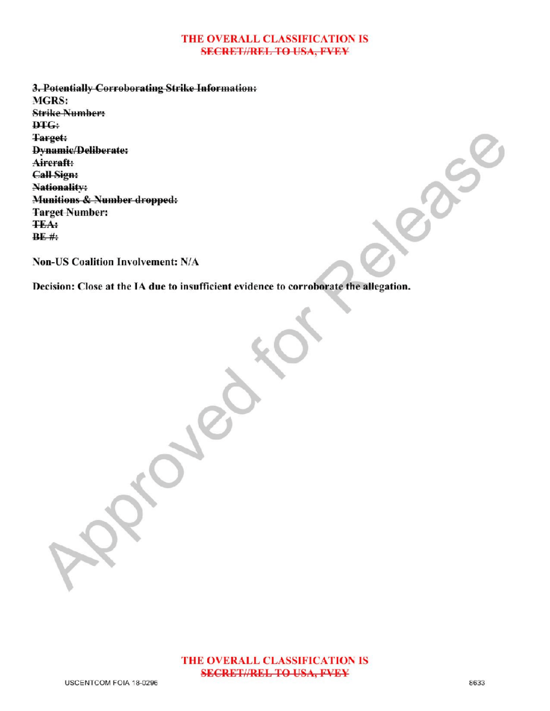#### THE OVERALL CLASSIFICATION IS **SECRET//REL TO USA, FVEY**

3. Potentially Corroborating Strike Information: MGRS: **Strike Number:** DTG: Target: Dynamic/Deliberate: Aircraft: Call Sign: Nationality: Munitions & Number dropped: Target Number: **TEA:**  $BE$ #:

Non-US Coalition Involvement: N/A

Decision: Close at the IA due to insufficient evidence to corroborate the allegation. vidence to corroborate the allegation.

Approved